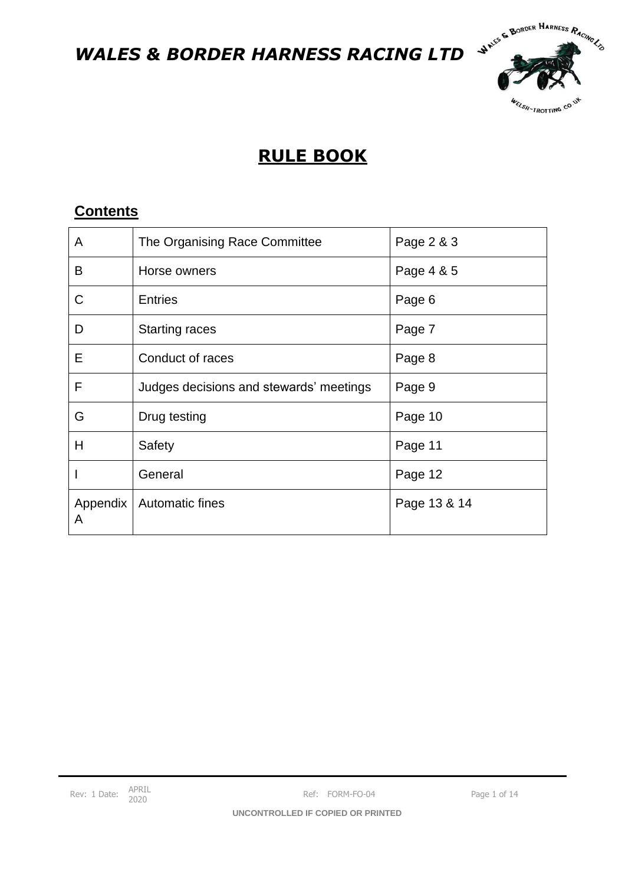

# **RULE BOOK**

### **Contents**

| A             | The Organising Race Committee           | Page 2 & 3   |
|---------------|-----------------------------------------|--------------|
| B             | Horse owners                            | Page 4 & 5   |
| C             | <b>Entries</b>                          | Page 6       |
| D             | <b>Starting races</b>                   | Page 7       |
| E             | Conduct of races                        | Page 8       |
| F             | Judges decisions and stewards' meetings | Page 9       |
| G             | Drug testing                            | Page 10      |
| Н             | Safety                                  | Page 11      |
|               | General                                 | Page 12      |
| Appendix<br>A | <b>Automatic fines</b>                  | Page 13 & 14 |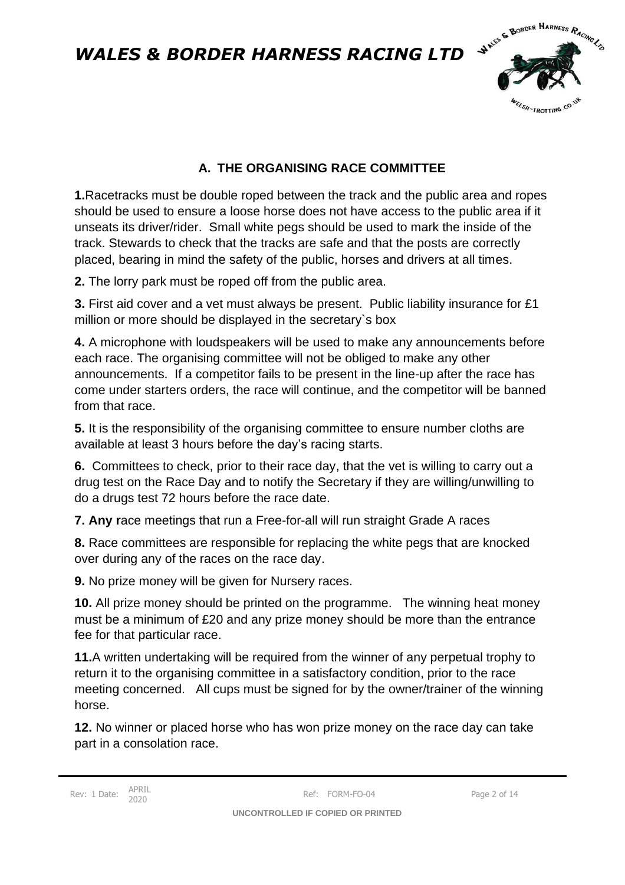

### **A. THE ORGANISING RACE COMMITTEE**

**1.**Racetracks must be double roped between the track and the public area and ropes should be used to ensure a loose horse does not have access to the public area if it unseats its driver/rider. Small white pegs should be used to mark the inside of the track. Stewards to check that the tracks are safe and that the posts are correctly placed, bearing in mind the safety of the public, horses and drivers at all times.

**2.** The lorry park must be roped off from the public area.

**3.** First aid cover and a vet must always be present. Public liability insurance for £1 million or more should be displayed in the secretary`s box

**4.** A microphone with loudspeakers will be used to make any announcements before each race. The organising committee will not be obliged to make any other announcements. If a competitor fails to be present in the line-up after the race has come under starters orders, the race will continue, and the competitor will be banned from that race.

**5.** It is the responsibility of the organising committee to ensure number cloths are available at least 3 hours before the day's racing starts.

**6.** Committees to check, prior to their race day, that the vet is willing to carry out a drug test on the Race Day and to notify the Secretary if they are willing/unwilling to do a drugs test 72 hours before the race date.

**7. Any r**ace meetings that run a Free-for-all will run straight Grade A races

**8.** Race committees are responsible for replacing the white pegs that are knocked over during any of the races on the race day.

**9.** No prize money will be given for Nursery races.

**10.** All prize money should be printed on the programme. The winning heat money must be a minimum of £20 and any prize money should be more than the entrance fee for that particular race.

**11.**A written undertaking will be required from the winner of any perpetual trophy to return it to the organising committee in a satisfactory condition, prior to the race meeting concerned. All cups must be signed for by the owner/trainer of the winning horse.

**12.** No winner or placed horse who has won prize money on the race day can take part in a consolation race.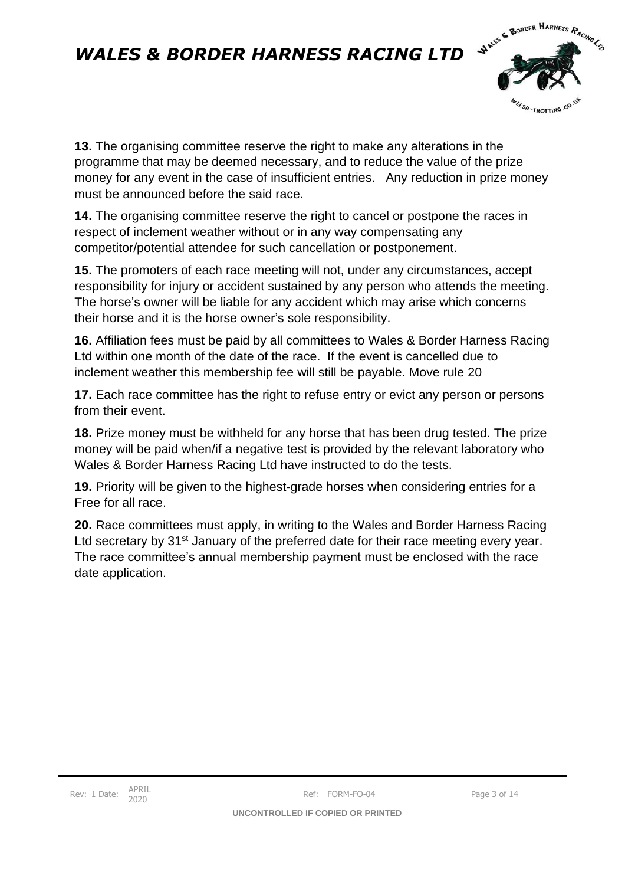

**13.** The organising committee reserve the right to make any alterations in the programme that may be deemed necessary, and to reduce the value of the prize money for any event in the case of insufficient entries. Any reduction in prize money must be announced before the said race.

**14.** The organising committee reserve the right to cancel or postpone the races in respect of inclement weather without or in any way compensating any competitor/potential attendee for such cancellation or postponement.

**15.** The promoters of each race meeting will not, under any circumstances, accept responsibility for injury or accident sustained by any person who attends the meeting. The horse's owner will be liable for any accident which may arise which concerns their horse and it is the horse owner's sole responsibility.

**16.** Affiliation fees must be paid by all committees to Wales & Border Harness Racing Ltd within one month of the date of the race. If the event is cancelled due to inclement weather this membership fee will still be payable. Move rule 20

**17.** Each race committee has the right to refuse entry or evict any person or persons from their event.

**18.** Prize money must be withheld for any horse that has been drug tested. The prize money will be paid when/if a negative test is provided by the relevant laboratory who Wales & Border Harness Racing Ltd have instructed to do the tests.

**19.** Priority will be given to the highest-grade horses when considering entries for a Free for all race.

**20.** Race committees must apply, in writing to the Wales and Border Harness Racing Ltd secretary by 31<sup>st</sup> January of the preferred date for their race meeting every year. The race committee's annual membership payment must be enclosed with the race date application.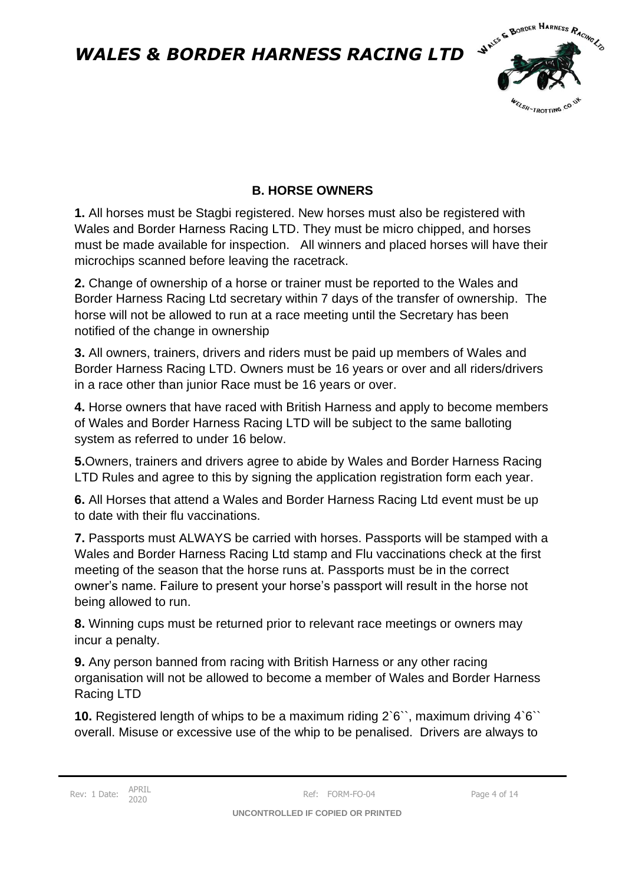

#### **B. HORSE OWNERS**

**1.** All horses must be Stagbi registered. New horses must also be registered with Wales and Border Harness Racing LTD. They must be micro chipped, and horses must be made available for inspection. All winners and placed horses will have their microchips scanned before leaving the racetrack.

**2.** Change of ownership of a horse or trainer must be reported to the Wales and Border Harness Racing Ltd secretary within 7 days of the transfer of ownership. The horse will not be allowed to run at a race meeting until the Secretary has been notified of the change in ownership

**3.** All owners, trainers, drivers and riders must be paid up members of Wales and Border Harness Racing LTD. Owners must be 16 years or over and all riders/drivers in a race other than junior Race must be 16 years or over.

**4.** Horse owners that have raced with British Harness and apply to become members of Wales and Border Harness Racing LTD will be subject to the same balloting system as referred to under 16 below.

**5.**Owners, trainers and drivers agree to abide by Wales and Border Harness Racing LTD Rules and agree to this by signing the application registration form each year.

**6.** All Horses that attend a Wales and Border Harness Racing Ltd event must be up to date with their flu vaccinations.

**7.** Passports must ALWAYS be carried with horses. Passports will be stamped with a Wales and Border Harness Racing Ltd stamp and Flu vaccinations check at the first meeting of the season that the horse runs at. Passports must be in the correct owner's name. Failure to present your horse's passport will result in the horse not being allowed to run.

**8.** Winning cups must be returned prior to relevant race meetings or owners may incur a penalty.

**9.** Any person banned from racing with British Harness or any other racing organisation will not be allowed to become a member of Wales and Border Harness Racing LTD

**10.** Registered length of whips to be a maximum riding 2`6``, maximum driving 4`6`` overall. Misuse or excessive use of the whip to be penalised. Drivers are always to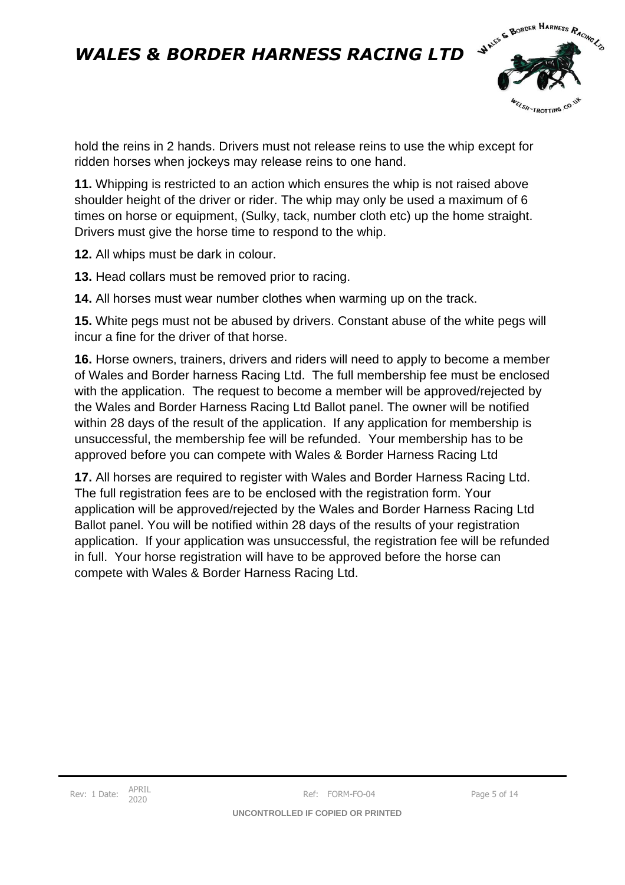

hold the reins in 2 hands. Drivers must not release reins to use the whip except for ridden horses when jockeys may release reins to one hand.

**11.** Whipping is restricted to an action which ensures the whip is not raised above shoulder height of the driver or rider. The whip may only be used a maximum of 6 times on horse or equipment, (Sulky, tack, number cloth etc) up the home straight. Drivers must give the horse time to respond to the whip.

**12.** All whips must be dark in colour.

**13.** Head collars must be removed prior to racing.

**14.** All horses must wear number clothes when warming up on the track.

**15.** White pegs must not be abused by drivers. Constant abuse of the white pegs will incur a fine for the driver of that horse.

**16.** Horse owners, trainers, drivers and riders will need to apply to become a member of Wales and Border harness Racing Ltd. The full membership fee must be enclosed with the application. The request to become a member will be approved/rejected by the Wales and Border Harness Racing Ltd Ballot panel. The owner will be notified within 28 days of the result of the application. If any application for membership is unsuccessful, the membership fee will be refunded. Your membership has to be approved before you can compete with Wales & Border Harness Racing Ltd

**17.** All horses are required to register with Wales and Border Harness Racing Ltd. The full registration fees are to be enclosed with the registration form. Your application will be approved/rejected by the Wales and Border Harness Racing Ltd Ballot panel. You will be notified within 28 days of the results of your registration application. If your application was unsuccessful, the registration fee will be refunded in full. Your horse registration will have to be approved before the horse can compete with Wales & Border Harness Racing Ltd.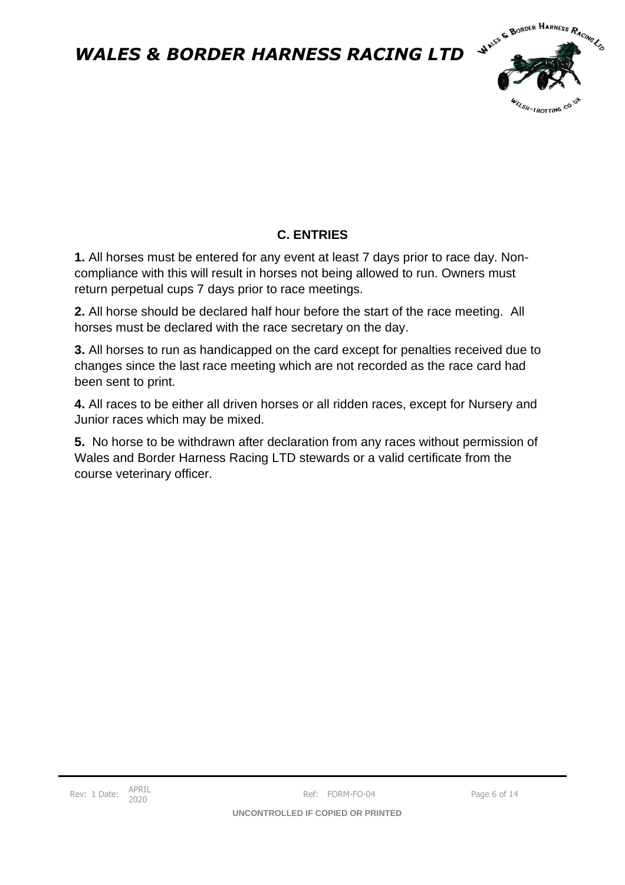

### **C. ENTRIES**

**1.** All horses must be entered for any event at least 7 days prior to race day. Noncompliance with this will result in horses not being allowed to run. Owners must return perpetual cups 7 days prior to race meetings.

**2.** All horse should be declared half hour before the start of the race meeting. All horses must be declared with the race secretary on the day.

**3.** All horses to run as handicapped on the card except for penalties received due to changes since the last race meeting which are not recorded as the race card had been sent to print.

**4.** All races to be either all driven horses or all ridden races, except for Nursery and Junior races which may be mixed.

**5.** No horse to be withdrawn after declaration from any races without permission of Wales and Border Harness Racing LTD stewards or a valid certificate from the course veterinary officer.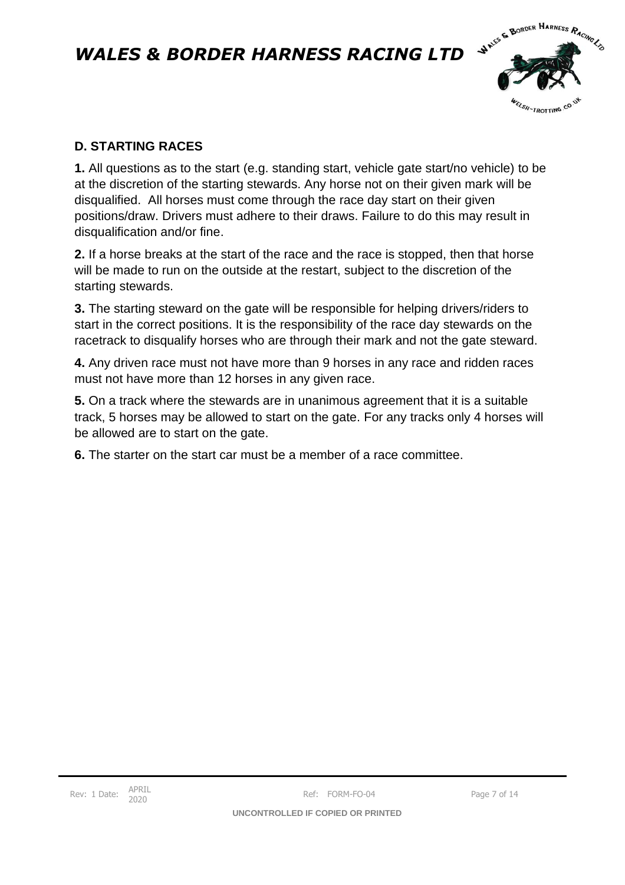

#### **D. STARTING RACES**

**1.** All questions as to the start (e.g. standing start, vehicle gate start/no vehicle) to be at the discretion of the starting stewards. Any horse not on their given mark will be disqualified. All horses must come through the race day start on their given positions/draw. Drivers must adhere to their draws. Failure to do this may result in disqualification and/or fine.

**2.** If a horse breaks at the start of the race and the race is stopped, then that horse will be made to run on the outside at the restart, subject to the discretion of the starting stewards.

**3.** The starting steward on the gate will be responsible for helping drivers/riders to start in the correct positions. It is the responsibility of the race day stewards on the racetrack to disqualify horses who are through their mark and not the gate steward.

**4.** Any driven race must not have more than 9 horses in any race and ridden races must not have more than 12 horses in any given race.

**5.** On a track where the stewards are in unanimous agreement that it is a suitable track, 5 horses may be allowed to start on the gate. For any tracks only 4 horses will be allowed are to start on the gate.

**6.** The starter on the start car must be a member of a race committee.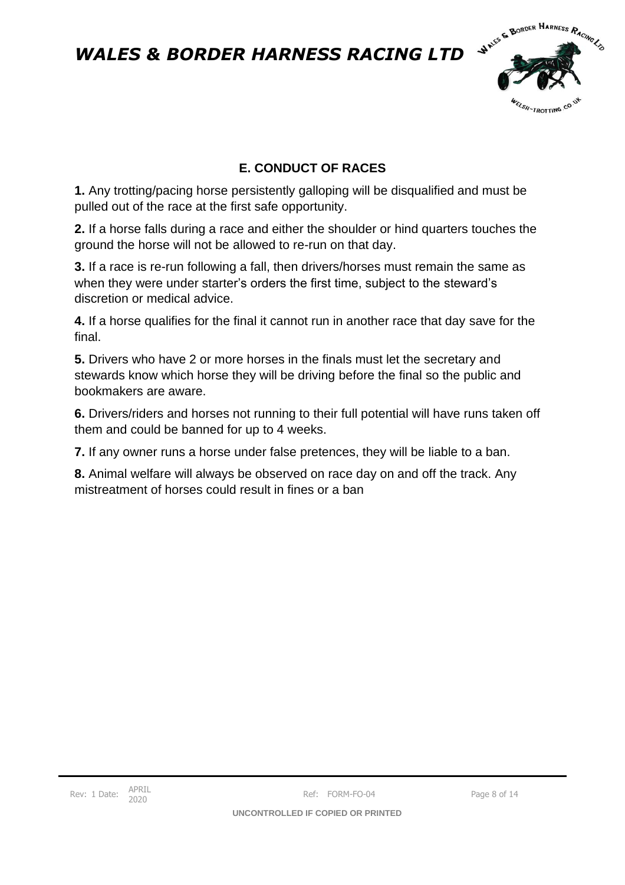

### **E. CONDUCT OF RACES**

**1.** Any trotting/pacing horse persistently galloping will be disqualified and must be pulled out of the race at the first safe opportunity.

**2.** If a horse falls during a race and either the shoulder or hind quarters touches the ground the horse will not be allowed to re-run on that day.

**3.** If a race is re-run following a fall, then drivers/horses must remain the same as when they were under starter's orders the first time, subject to the steward's discretion or medical advice.

**4.** If a horse qualifies for the final it cannot run in another race that day save for the final.

**5.** Drivers who have 2 or more horses in the finals must let the secretary and stewards know which horse they will be driving before the final so the public and bookmakers are aware.

**6.** Drivers/riders and horses not running to their full potential will have runs taken off them and could be banned for up to 4 weeks.

**7.** If any owner runs a horse under false pretences, they will be liable to a ban.

**8.** Animal welfare will always be observed on race day on and off the track. Any mistreatment of horses could result in fines or a ban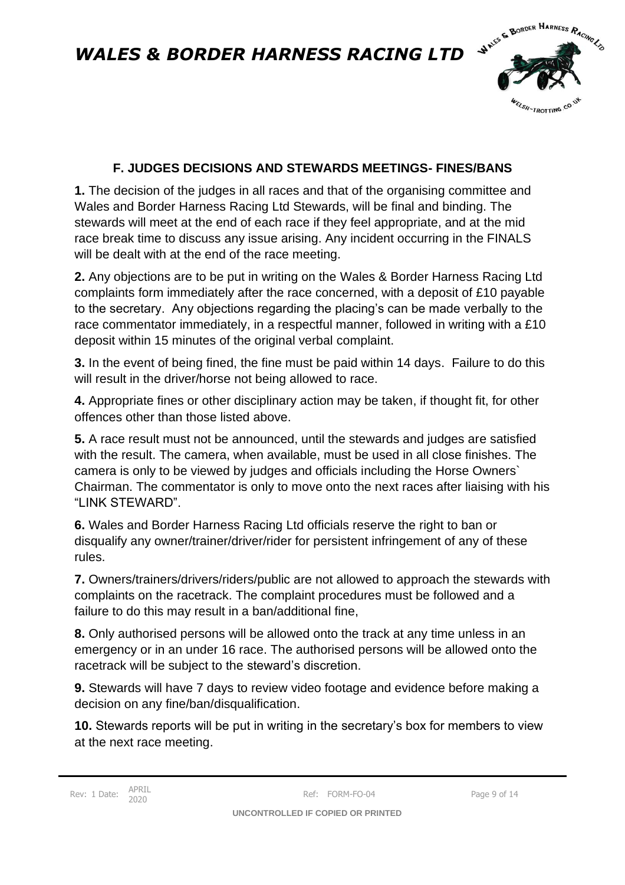

#### **F. JUDGES DECISIONS AND STEWARDS MEETINGS- FINES/BANS**

**1.** The decision of the judges in all races and that of the organising committee and Wales and Border Harness Racing Ltd Stewards, will be final and binding. The stewards will meet at the end of each race if they feel appropriate, and at the mid race break time to discuss any issue arising. Any incident occurring in the FINALS will be dealt with at the end of the race meeting.

**2.** Any objections are to be put in writing on the Wales & Border Harness Racing Ltd complaints form immediately after the race concerned, with a deposit of £10 payable to the secretary. Any objections regarding the placing's can be made verbally to the race commentator immediately, in a respectful manner, followed in writing with a £10 deposit within 15 minutes of the original verbal complaint.

**3.** In the event of being fined, the fine must be paid within 14 days. Failure to do this will result in the driver/horse not being allowed to race.

**4.** Appropriate fines or other disciplinary action may be taken, if thought fit, for other offences other than those listed above.

**5.** A race result must not be announced, until the stewards and judges are satisfied with the result. The camera, when available, must be used in all close finishes. The camera is only to be viewed by judges and officials including the Horse Owners` Chairman. The commentator is only to move onto the next races after liaising with his "LINK STEWARD".

**6.** Wales and Border Harness Racing Ltd officials reserve the right to ban or disqualify any owner/trainer/driver/rider for persistent infringement of any of these rules.

**7.** Owners/trainers/drivers/riders/public are not allowed to approach the stewards with complaints on the racetrack. The complaint procedures must be followed and a failure to do this may result in a ban/additional fine,

**8.** Only authorised persons will be allowed onto the track at any time unless in an emergency or in an under 16 race. The authorised persons will be allowed onto the racetrack will be subject to the steward's discretion.

**9.** Stewards will have 7 days to review video footage and evidence before making a decision on any fine/ban/disqualification.

**10.** Stewards reports will be put in writing in the secretary's box for members to view at the next race meeting.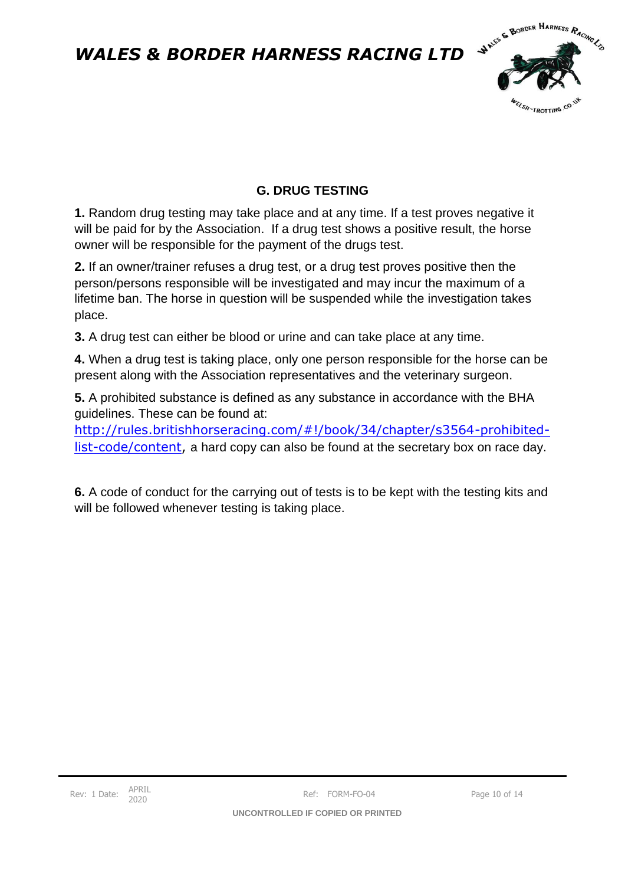

### **G. DRUG TESTING**

**1.** Random drug testing may take place and at any time. If a test proves negative it will be paid for by the Association. If a drug test shows a positive result, the horse owner will be responsible for the payment of the drugs test.

**2.** If an owner/trainer refuses a drug test, or a drug test proves positive then the person/persons responsible will be investigated and may incur the maximum of a lifetime ban. The horse in question will be suspended while the investigation takes place.

**3.** A drug test can either be blood or urine and can take place at any time.

**4.** When a drug test is taking place, only one person responsible for the horse can be present along with the Association representatives and the veterinary surgeon.

**5.** A prohibited substance is defined as any substance in accordance with the BHA guidelines. These can be found at:

[http://rules.britishhorseracing.com/#!/book/34/chapter/s3564-prohibited](http://rules.britishhorseracing.com/#!/book/34/chapter/s3564-prohibited-list-code/content)[list-code/content,](http://rules.britishhorseracing.com/#!/book/34/chapter/s3564-prohibited-list-code/content) a hard copy can also be found at the secretary box on race day.

**6.** A code of conduct for the carrying out of tests is to be kept with the testing kits and will be followed whenever testing is taking place.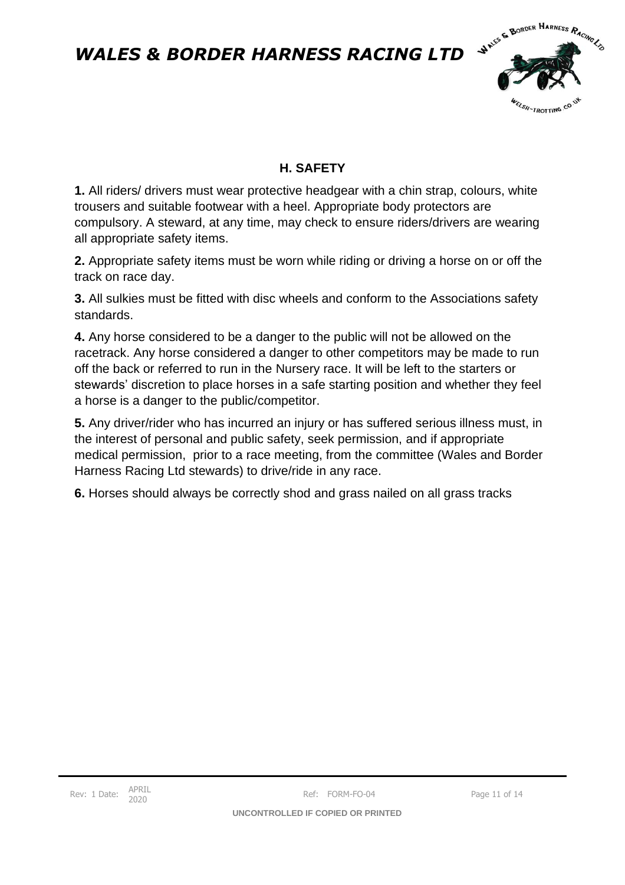

### **H. SAFETY**

**1.** All riders/ drivers must wear protective headgear with a chin strap, colours, white trousers and suitable footwear with a heel. Appropriate body protectors are compulsory. A steward, at any time, may check to ensure riders/drivers are wearing all appropriate safety items.

**2.** Appropriate safety items must be worn while riding or driving a horse on or off the track on race day.

**3.** All sulkies must be fitted with disc wheels and conform to the Associations safety standards.

**4.** Any horse considered to be a danger to the public will not be allowed on the racetrack. Any horse considered a danger to other competitors may be made to run off the back or referred to run in the Nursery race. It will be left to the starters or stewards' discretion to place horses in a safe starting position and whether they feel a horse is a danger to the public/competitor.

**5.** Any driver/rider who has incurred an injury or has suffered serious illness must, in the interest of personal and public safety, seek permission, and if appropriate medical permission, prior to a race meeting, from the committee (Wales and Border Harness Racing Ltd stewards) to drive/ride in any race.

**6.** Horses should always be correctly shod and grass nailed on all grass tracks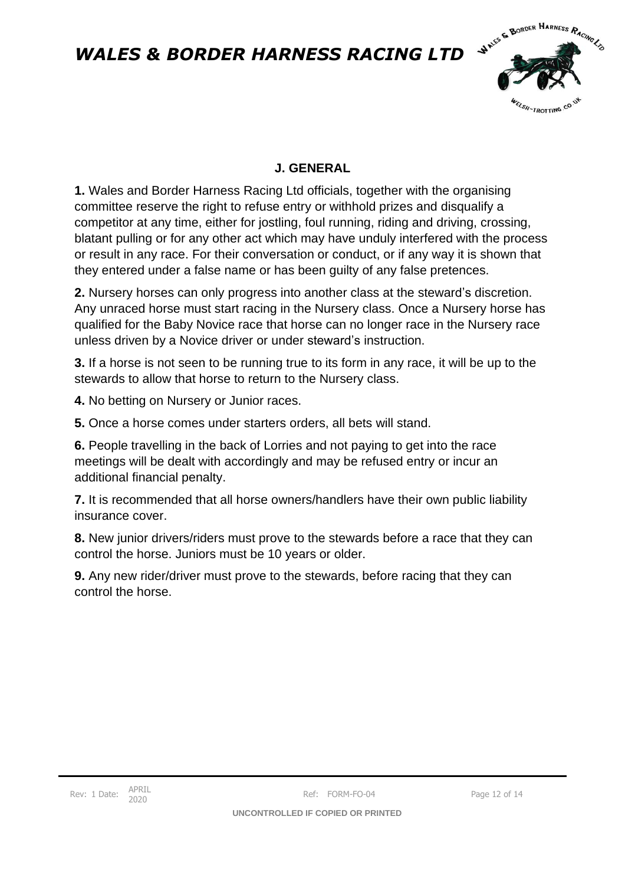

### **J. GENERAL**

**1.** Wales and Border Harness Racing Ltd officials, together with the organising committee reserve the right to refuse entry or withhold prizes and disqualify a competitor at any time, either for jostling, foul running, riding and driving, crossing, blatant pulling or for any other act which may have unduly interfered with the process or result in any race. For their conversation or conduct, or if any way it is shown that they entered under a false name or has been guilty of any false pretences.

**2.** Nursery horses can only progress into another class at the steward's discretion. Any unraced horse must start racing in the Nursery class. Once a Nursery horse has qualified for the Baby Novice race that horse can no longer race in the Nursery race unless driven by a Novice driver or under steward's instruction.

**3.** If a horse is not seen to be running true to its form in any race, it will be up to the stewards to allow that horse to return to the Nursery class.

**4.** No betting on Nursery or Junior races.

**5.** Once a horse comes under starters orders, all bets will stand.

**6.** People travelling in the back of Lorries and not paying to get into the race meetings will be dealt with accordingly and may be refused entry or incur an additional financial penalty.

**7.** It is recommended that all horse owners/handlers have their own public liability insurance cover.

**8.** New junior drivers/riders must prove to the stewards before a race that they can control the horse. Juniors must be 10 years or older.

**9.** Any new rider/driver must prove to the stewards, before racing that they can control the horse.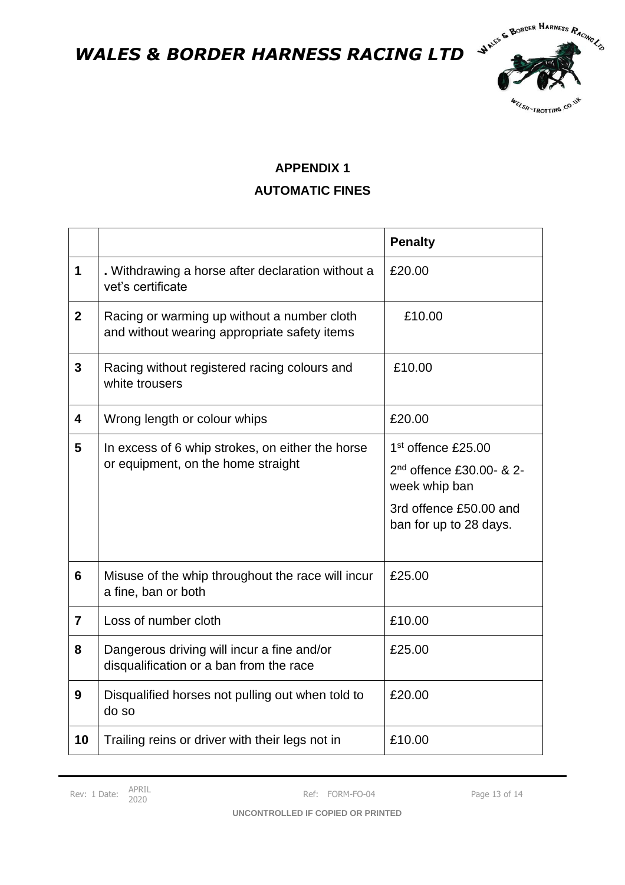

### **APPENDIX 1 AUTOMATIC FINES**

|                |                                                                                             | <b>Penalty</b>                                        |
|----------------|---------------------------------------------------------------------------------------------|-------------------------------------------------------|
| 1              | . Withdrawing a horse after declaration without a<br>vet's certificate                      | £20.00                                                |
| $\mathbf{2}$   | Racing or warming up without a number cloth<br>and without wearing appropriate safety items | £10.00                                                |
| 3              | Racing without registered racing colours and<br>white trousers                              | £10.00                                                |
| 4              | Wrong length or colour whips                                                                | £20.00                                                |
| 5              | In excess of 6 whip strokes, on either the horse<br>or equipment, on the home straight      | 1 <sup>st</sup> offence £25.00                        |
|                |                                                                                             | 2 <sup>nd</sup> offence £30.00- & 2-<br>week whip ban |
|                |                                                                                             | 3rd offence £50.00 and<br>ban for up to 28 days.      |
| 6              | Misuse of the whip throughout the race will incur<br>a fine, ban or both                    | £25.00                                                |
| $\overline{7}$ | Loss of number cloth                                                                        | £10.00                                                |
| 8              | Dangerous driving will incur a fine and/or<br>disqualification or a ban from the race       | £25.00                                                |
| 9              | Disqualified horses not pulling out when told to<br>do so                                   | £20.00                                                |
| 10             | Trailing reins or driver with their legs not in                                             | £10.00                                                |